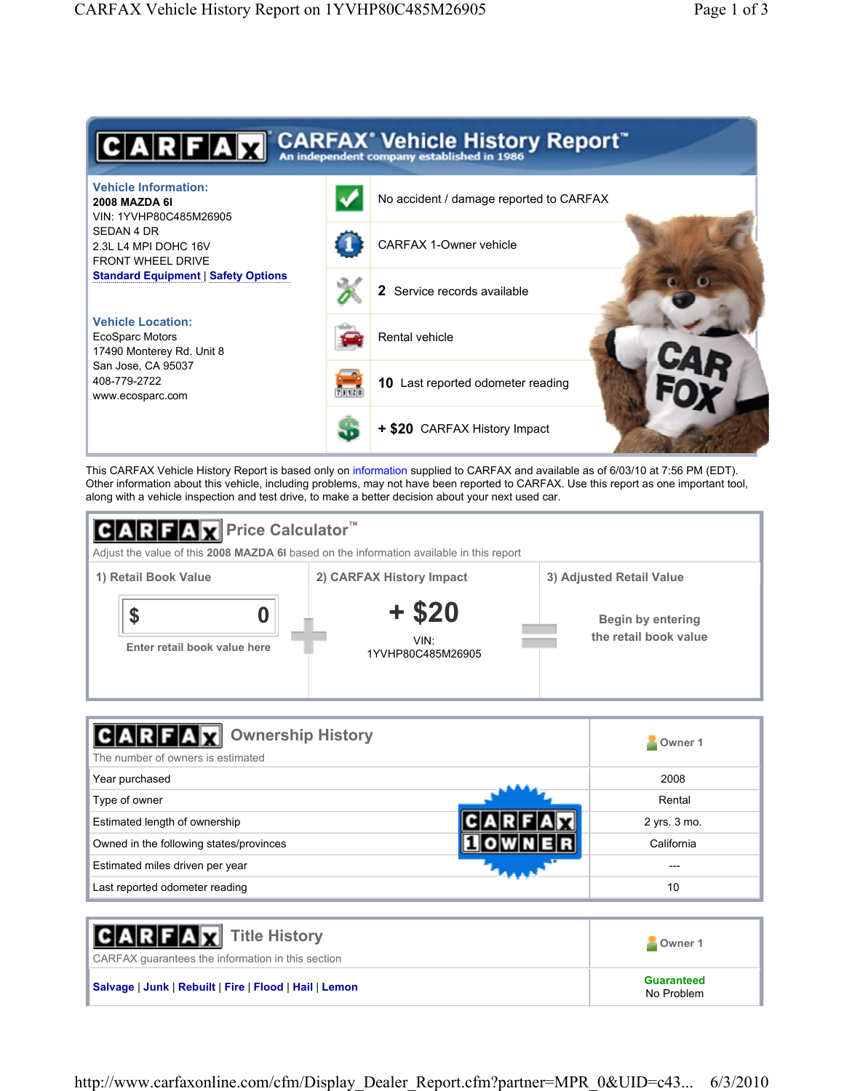

This CARFAX Vehicle History Report is based only on information supplied to CARFAX and available as of 6/03/10 at 7:56 PM (EDT). Other information about this vehicle, including problems, may not have been reported to CARFAX. Use this report as one important tool, along with a vehicle inspection and test drive, to make a better decision about your next used car.



| <b>Ownership History</b><br>The number of owners is estimated | Owner 1      |
|---------------------------------------------------------------|--------------|
| Year purchased                                                | 2008         |
| Type of owner                                                 | Rental       |
| Estimated length of ownership                                 | 2 yrs. 3 mo. |
| Owned in the following states/provinces                       | California   |
| Estimated miles driven per year                               |              |
| Last reported odometer reading                                | 10           |

| <b>CARFAX</b> Title History<br>CARFAX quarantees the information in this section | Owner 1                         |
|----------------------------------------------------------------------------------|---------------------------------|
| Salvage   Junk   Rebuilt   Fire   Flood   Hail   Lemon                           | <b>Guaranteed</b><br>No Problem |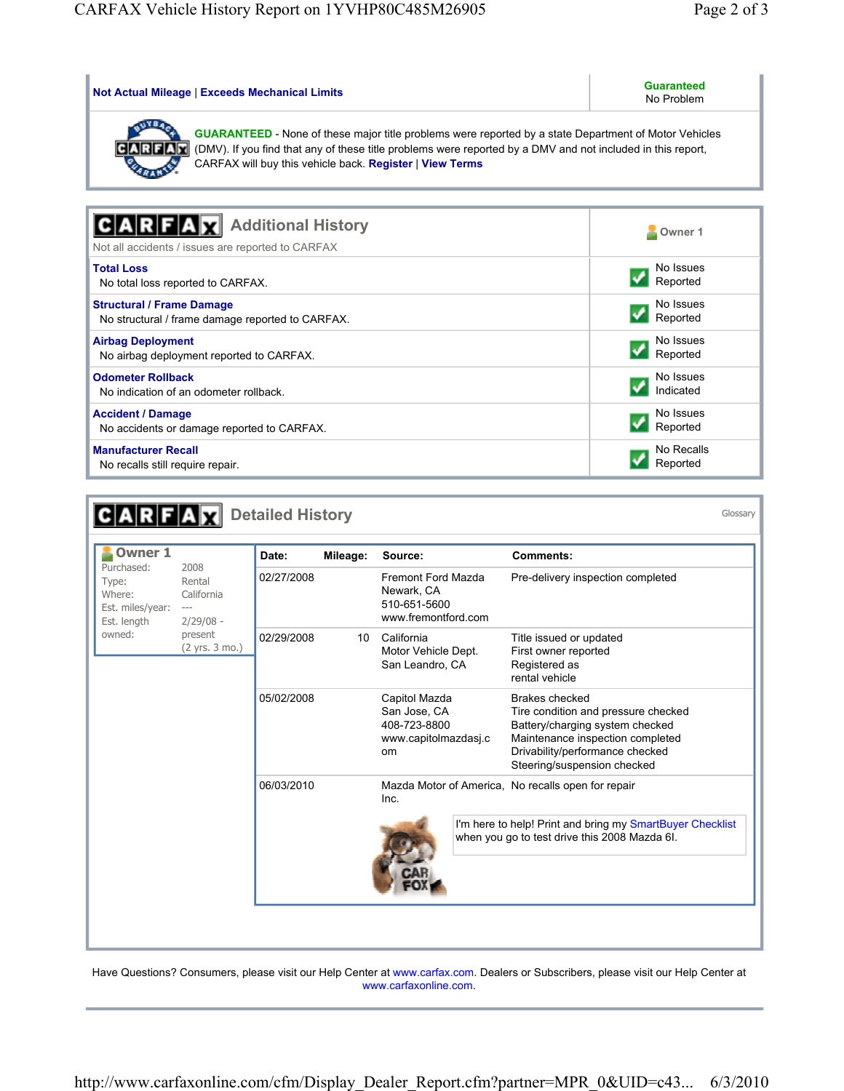| Not Actual Mileage   Exceeds Mechanical Limits                                                                                                                                                                                                                                          | <b>Guaranteed</b><br>No Problem |  |  |  |  |  |
|-----------------------------------------------------------------------------------------------------------------------------------------------------------------------------------------------------------------------------------------------------------------------------------------|---------------------------------|--|--|--|--|--|
| <b>GUARANTEED</b> - None of these major title problems were reported by a state Department of Motor Vehicles<br>(DMV). If you find that any of these title problems were reported by a DMV and not included in this report,<br>CARFAX will buy this vehicle back. Register   View Terms |                                 |  |  |  |  |  |
| <b>Additional History</b><br>Not all accidents / issues are reported to CARFAX                                                                                                                                                                                                          | Owner 1                         |  |  |  |  |  |
| <b>Total Loss</b>                                                                                                                                                                                                                                                                       | No Issues                       |  |  |  |  |  |
| No total loss reported to CARFAX.                                                                                                                                                                                                                                                       | Reported                        |  |  |  |  |  |
| <b>Structural / Frame Damage</b>                                                                                                                                                                                                                                                        | No Issues                       |  |  |  |  |  |
| No structural / frame damage reported to CARFAX.                                                                                                                                                                                                                                        | Reported                        |  |  |  |  |  |
| <b>Airbag Deployment</b>                                                                                                                                                                                                                                                                | No Issues                       |  |  |  |  |  |
| No airbag deployment reported to CARFAX.                                                                                                                                                                                                                                                | Reported                        |  |  |  |  |  |
| <b>Odometer Rollback</b>                                                                                                                                                                                                                                                                | No Issues                       |  |  |  |  |  |
| No indication of an odometer rollback.                                                                                                                                                                                                                                                  | Indicated                       |  |  |  |  |  |
| <b>Accident / Damage</b>                                                                                                                                                                                                                                                                | No Issues                       |  |  |  |  |  |
| No accidents or damage reported to CARFAX.                                                                                                                                                                                                                                              | Reported                        |  |  |  |  |  |
| <b>Manufacturer Recall</b>                                                                                                                                                                                                                                                              | No Recalls                      |  |  |  |  |  |
| No recalls still require repair.                                                                                                                                                                                                                                                        | Reported                        |  |  |  |  |  |

|                                                                  |                                                     | <b>Detailed History</b>        |                                        |                                                                                    |                                                                                                            |                                                                                                                                                                                                | Glossary |
|------------------------------------------------------------------|-----------------------------------------------------|--------------------------------|----------------------------------------|------------------------------------------------------------------------------------|------------------------------------------------------------------------------------------------------------|------------------------------------------------------------------------------------------------------------------------------------------------------------------------------------------------|----------|
| Owner 1                                                          |                                                     | Date:                          | Mileage:                               | Source:                                                                            |                                                                                                            | <b>Comments:</b>                                                                                                                                                                               |          |
| Purchased:<br>Type:<br>Where:<br>Est. miles/year:<br>Est. length | 2008<br>Rental<br>California<br>$--$<br>$2/29/08 -$ | 02/27/2008                     |                                        | Fremont Ford Mazda<br>Newark, CA<br>510-651-5600<br>www.fremontford.com            |                                                                                                            | Pre-delivery inspection completed                                                                                                                                                              |          |
| owned:                                                           | present<br>(2 yrs. 3 mo.)                           | 02/29/2008<br>California<br>10 | Motor Vehicle Dept.<br>San Leandro, CA |                                                                                    | Title issued or updated<br>First owner reported<br>Registered as<br>rental vehicle                         |                                                                                                                                                                                                |          |
|                                                                  |                                                     | 05/02/2008                     |                                        | Capitol Mazda<br>San Jose, CA<br>408-723-8800<br>www.capitolmazdasj.c<br><b>om</b> |                                                                                                            | Brakes checked<br>Tire condition and pressure checked<br>Battery/charging system checked<br>Maintenance inspection completed<br>Drivability/performance checked<br>Steering/suspension checked |          |
|                                                                  |                                                     | 06/03/2010                     |                                        | Inc.                                                                               |                                                                                                            | Mazda Motor of America, No recalls open for repair                                                                                                                                             |          |
|                                                                  |                                                     |                                |                                        |                                                                                    | I'm here to help! Print and bring my SmartBuyer Checklist<br>when you go to test drive this 2008 Mazda 6I. |                                                                                                                                                                                                |          |
|                                                                  |                                                     |                                |                                        |                                                                                    |                                                                                                            |                                                                                                                                                                                                |          |

Have Questions? Consumers, please visit our Help Center at www.carfax.com. Dealers or Subscribers, please visit our Help Center at www.carfaxonline.com.

http://www.carfaxonline.com/cfm/Display\_Dealer\_Report.cfm?partner=MPR\_0&UID=c43... 6/3/2010